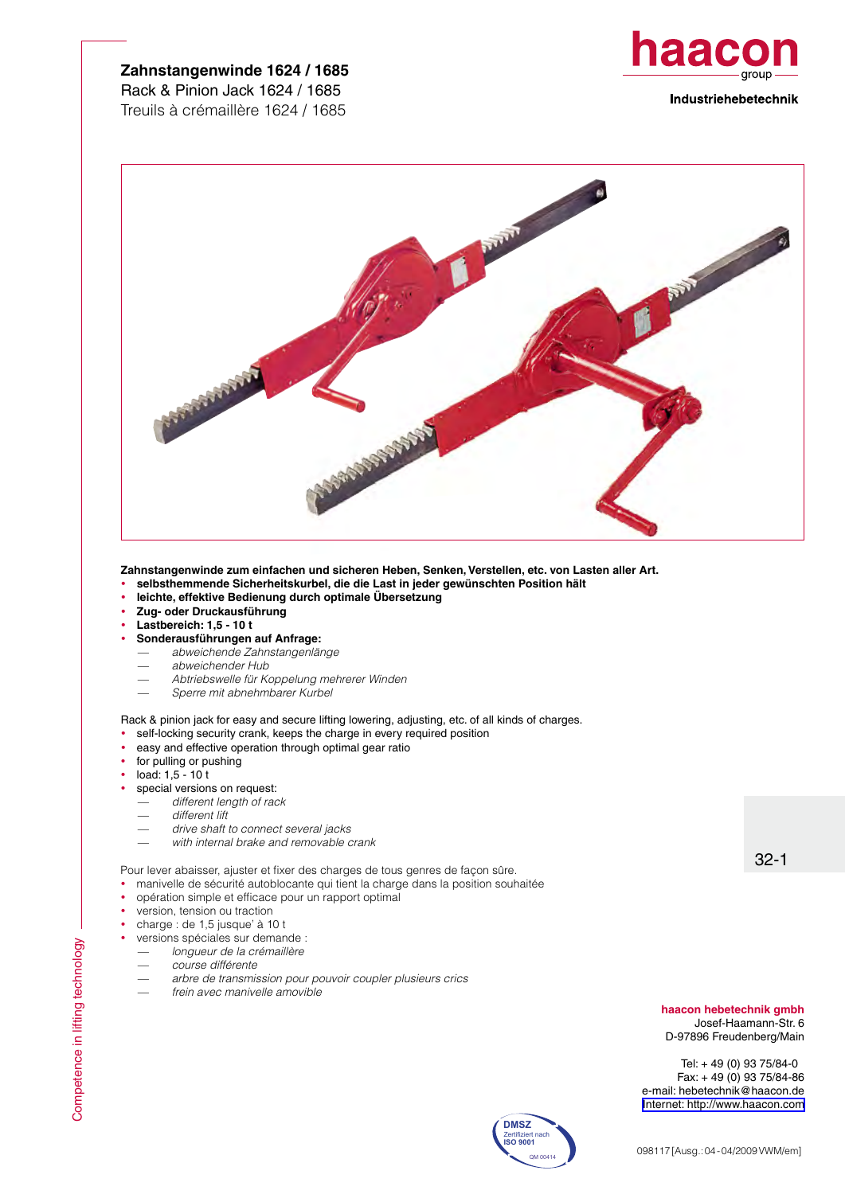## **Zahnstangenwinde 1624 / 1685** Rack & Pinion Jack 1624 / 1685 Treuils à crémaillère 1624 / 1685





**Zahnstangenwinde zum einfachen und sicheren Heben, Senken, Verstellen, etc. von Lasten aller Art.**

- y **selbsthemmende Sicherheitskurbel, die die Last in jeder gewünschten Position hält**
- y **leichte, effektive Bedienung durch optimale Übersetzung**
- y **Zug- oder Druckausführung**
- y **Lastbereich: 1,5 10 t**
- y **Sonderausführungen auf Anfrage:**
	- *abweichende Zahnstangenlänge*
	- *abweichender Hub*
	- *Abtriebswelle für Koppelung mehrerer Winden*
	- *Sperre mit abnehmbarer Kurbel*

Rack & pinion jack for easy and secure lifting lowering, adjusting, etc. of all kinds of charges.

- self-locking security crank, keeps the charge in every required position
- easy and effective operation through optimal gear ratio
- for pulling or pushing
- load: 1,5 10 t
- special versions on request:
	- *different length of rack*
	- *different lift*
	- *drive shaft to connect several jacks*
	- *with internal brake and removable crank*

Pour lever abaisser, ajuster et fixer des charges de tous genres de façon sûre.

- manivelle de sécurité autoblocante qui tient la charge dans la position souhaitée
- opération simple et efficace pour un rapport optimal
- version, tension ou traction
- charge : de 1,5 jusque' à 10 t
- versions spéciales sur demande :
	- *longueur de la crémaillère*
	- *course différente*
	- *arbre de transmission pour pouvoir coupler plusieurs crics*
	- *frein avec manivelle amovible*

**haacon hebetechnik gmbh**

32-1

Josef-Haamann-Str. 6 D-97896 Freudenberg/Main

Tel: + 49 (0) 93 75/84-0 Fax: + 49 (0) 93 75/84-86 e-mail: hebetechnik@haacon.de [Internet: http://www.haacon.com](http://www.haacon.com)